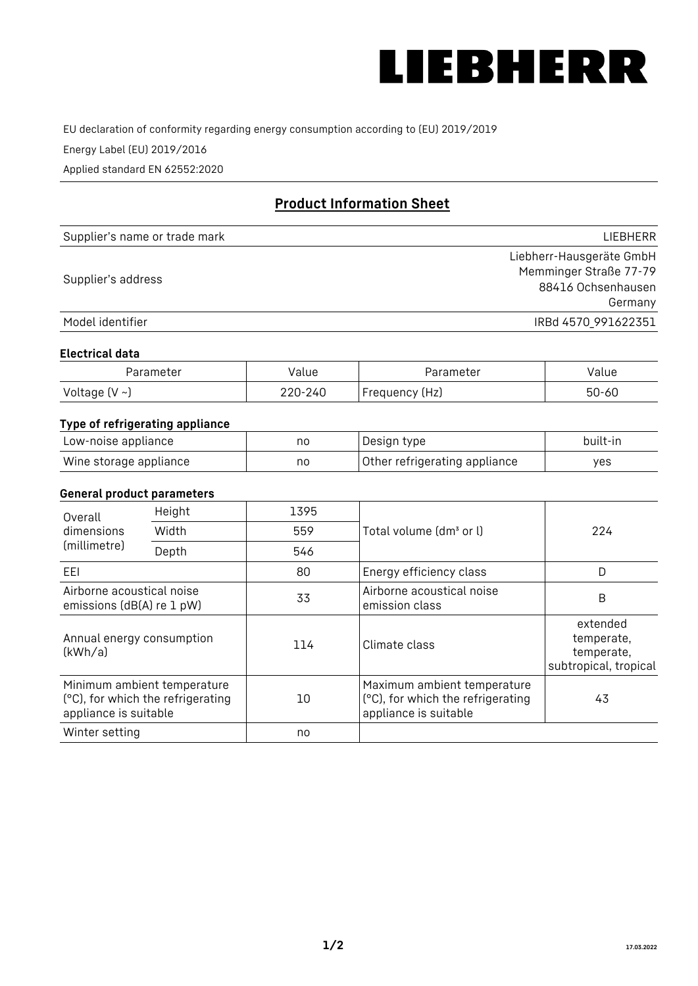

EU declaration of conformity regarding energy consumption according to (EU) 2019/2019

Energy Label (EU) 2019/2016

Applied standard EN 62552:2020

# **Product Information Sheet**

| Supplier's name or trade mark | <b>LIFBHFRR</b>          |
|-------------------------------|--------------------------|
|                               | Liebherr-Hausgeräte GmbH |
| Supplier's address            | Memminger Straße 77-79   |
|                               | 88416 Ochsenhausen       |
|                               | Germany                  |
| Model identifier              | IRBd 4570 991622351      |

## **Electrical data**

| Parameter     | Value         | Parameter      | alue ' |
|---------------|---------------|----------------|--------|
| Voltage (V ~) | 220-:<br>-24C | Frequency (Hz) | 50-60  |

# **Type of refrigerating appliance**

| Low-noise appliance    | no | Design type                   | built-in |
|------------------------|----|-------------------------------|----------|
| Wine storage appliance | nc | Other refrigerating appliance | ves      |

## **General product parameters**

| Height<br>Overall                                      |                                                                  | 1395 |                                                                                           |                                                               |
|--------------------------------------------------------|------------------------------------------------------------------|------|-------------------------------------------------------------------------------------------|---------------------------------------------------------------|
| dimensions<br>(millimetre)                             | Width                                                            | 559  | Total volume (dm <sup>3</sup> or l)                                                       | 224                                                           |
|                                                        | Depth                                                            | 546  |                                                                                           |                                                               |
| EEL                                                    |                                                                  | 80   | Energy efficiency class                                                                   | D                                                             |
| Airborne acoustical noise<br>emissions (dB(A) re 1 pW) |                                                                  | 33   | Airborne acoustical noise<br>emission class                                               | B                                                             |
| Annual energy consumption<br>(kWh/a)                   |                                                                  | 114  | Climate class                                                                             | extended<br>temperate,<br>temperate,<br>subtropical, tropical |
| appliance is suitable                                  | Minimum ambient temperature<br>(°C), for which the refrigerating | 10   | Maximum ambient temperature<br>(°C), for which the refrigerating<br>appliance is suitable | 43                                                            |
| Winter setting                                         |                                                                  | no   |                                                                                           |                                                               |